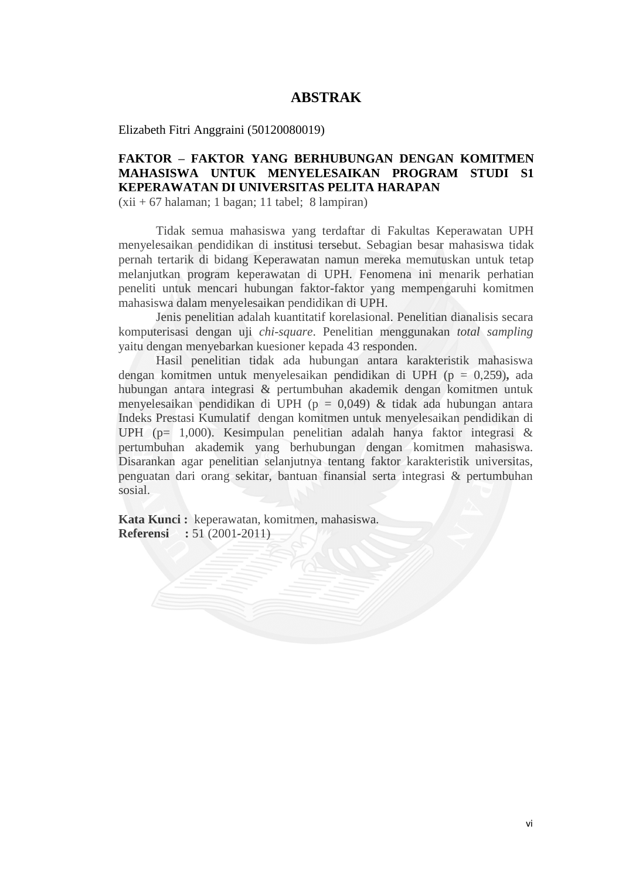## **ABSTRAK**

Elizabeth Fitri Anggraini (50120080019)

## **FAKTOR – FAKTOR YANG BERHUBUNGAN DENGAN KOMITMEN MAHASISWA UNTUK MENYELESAIKAN PROGRAM STUDI S1 KEPERAWATAN DI UNIVERSITAS PELITA HARAPAN**

 $(xii + 67 \text{ halaman}; 1 \text{ bagan}; 11 \text{ table}; 8 \text{ lampiran})$ 

Tidak semua mahasiswa yang terdaftar di Fakultas Keperawatan UPH menyelesaikan pendidikan di institusi tersebut. Sebagian besar mahasiswa tidak pernah tertarik di bidang Keperawatan namun mereka memutuskan untuk tetap melanjutkan program keperawatan di UPH. Fenomena ini menarik perhatian peneliti untuk mencari hubungan faktor-faktor yang mempengaruhi komitmen mahasiswa dalam menyelesaikan pendidikan di UPH.

Jenis penelitian adalah kuantitatif korelasional. Penelitian dianalisis secara komputerisasi dengan uji *chi-square*. Penelitian menggunakan *total sampling* yaitu dengan menyebarkan kuesioner kepada 43 responden.

Hasil penelitian tidak ada hubungan antara karakteristik mahasiswa dengan komitmen untuk menyelesaikan pendidikan di UPH (p = 0,259)**,** ada hubungan antara integrasi & pertumbuhan akademik dengan komitmen untuk menyelesaikan pendidikan di UPH ( $p = 0.049$ ) & tidak ada hubungan antara Indeks Prestasi Kumulatif dengan komitmen untuk menyelesaikan pendidikan di UPH (p= 1,000). Kesimpulan penelitian adalah hanya faktor integrasi & pertumbuhan akademik yang berhubungan dengan komitmen mahasiswa. Disarankan agar penelitian selanjutnya tentang faktor karakteristik universitas, penguatan dari orang sekitar, bantuan finansial serta integrasi & pertumbuhan sosial.

**Kata Kunci :** keperawatan, komitmen, mahasiswa. **Referensi :** 51 (2001-2011)